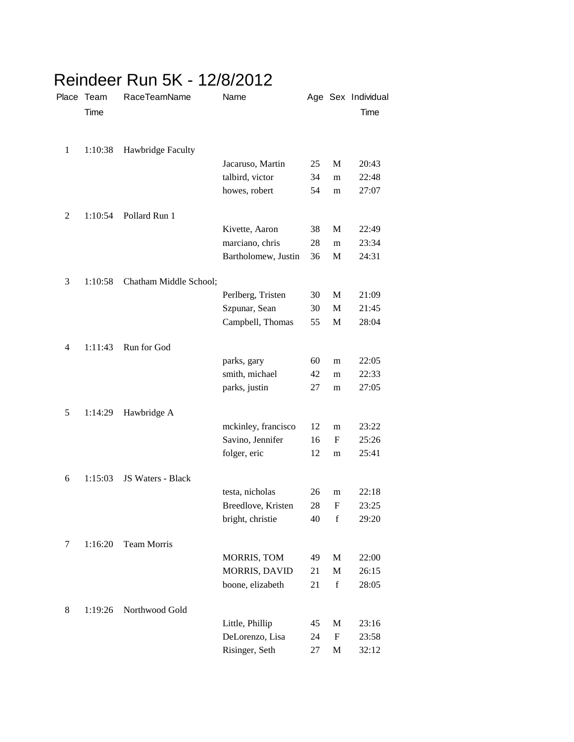|                | Place Team<br>Time | RaceTeamName           | Name                 |    |             | Age Sex Individual<br>Time |
|----------------|--------------------|------------------------|----------------------|----|-------------|----------------------------|
| $\mathbf{1}$   | 1:10:38            | Hawbridge Faculty      |                      |    |             |                            |
|                |                    |                        | Jacaruso, Martin     | 25 | M           | 20:43                      |
|                |                    |                        | talbird, victor      | 34 | m           | 22:48                      |
|                |                    |                        | howes, robert        | 54 | m           | 27:07                      |
| $\overline{c}$ | 1:10:54            | Pollard Run 1          |                      |    |             |                            |
|                |                    |                        | Kivette, Aaron       | 38 | M           | 22:49                      |
|                |                    |                        | marciano, chris      | 28 | m           | 23:34                      |
|                |                    |                        | Bartholomew, Justin  | 36 | M           | 24:31                      |
| 3              | 1:10:58            | Chatham Middle School; |                      |    |             |                            |
|                |                    |                        | Perlberg, Tristen    | 30 | M           | 21:09                      |
|                |                    |                        | Szpunar, Sean        | 30 | M           | 21:45                      |
|                |                    |                        | Campbell, Thomas     | 55 | M           | 28:04                      |
| $\overline{4}$ | 1:11:43            | Run for God            |                      |    |             |                            |
|                |                    |                        | parks, gary          | 60 | m           | 22:05                      |
|                |                    |                        | smith, michael       | 42 | m           | 22:33                      |
|                |                    |                        | parks, justin        | 27 | m           | 27:05                      |
| 5              | 1:14:29            | Hawbridge A            |                      |    |             |                            |
|                |                    |                        | mckinley, francisco  | 12 | m           | 23:22                      |
|                |                    |                        | Savino, Jennifer     | 16 | F           | 25:26                      |
|                |                    |                        | folger, eric         | 12 | m           | 25:41                      |
| 6              | 1:15:03            | JS Waters - Black      |                      |    |             |                            |
|                |                    |                        | testa, nicholas      | 26 | m           | 22:18                      |
|                |                    |                        | Breedlove, Kristen   | 28 | F           | 23:25                      |
|                |                    |                        | bright, christie     | 40 | f           | 29:20                      |
| 7              | 1:16:20            | <b>Team Morris</b>     |                      |    |             |                            |
|                |                    |                        | MORRIS, TOM          | 49 | M           | 22:00                      |
|                |                    |                        | <b>MORRIS, DAVID</b> | 21 | M           | 26:15                      |
|                |                    |                        | boone, elizabeth     | 21 | $\mathbf f$ | 28:05                      |
| 8              | 1:19:26            | Northwood Gold         |                      |    |             |                            |
|                |                    |                        | Little, Phillip      | 45 | M           | 23:16                      |
|                |                    |                        | DeLorenzo, Lisa      | 24 | F           | 23:58                      |
|                |                    |                        | Risinger, Seth       | 27 | M           | 32:12                      |

## Reindeer Run 5K - 12/8/2012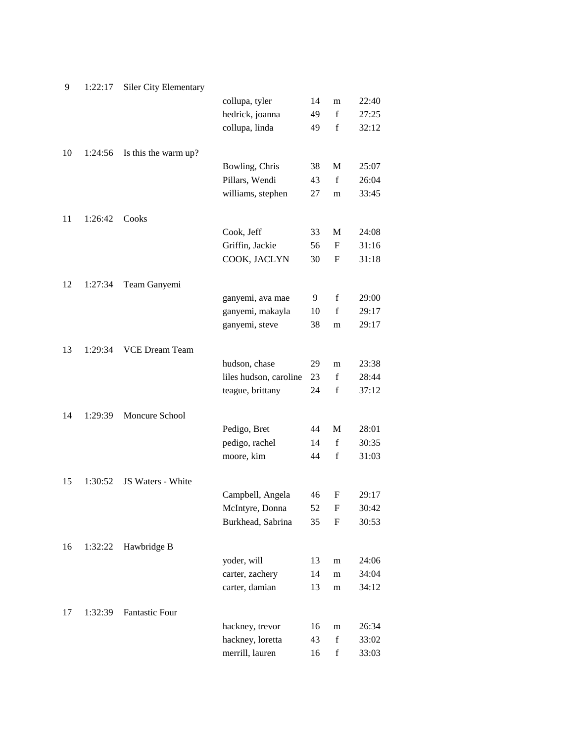| 9  | 1:22:17 | <b>Siler City Elementary</b> |                        |    |             |       |
|----|---------|------------------------------|------------------------|----|-------------|-------|
|    |         |                              | collupa, tyler         | 14 | m           | 22:40 |
|    |         |                              | hedrick, joanna        | 49 | f           | 27:25 |
|    |         |                              | collupa, linda         | 49 | $\mathbf f$ | 32:12 |
|    |         |                              |                        |    |             |       |
| 10 | 1:24:56 | Is this the warm up?         |                        |    |             |       |
|    |         |                              | Bowling, Chris         | 38 | $\mathbf M$ | 25:07 |
|    |         |                              | Pillars, Wendi         | 43 | $\mathbf f$ | 26:04 |
|    |         |                              | williams, stephen      | 27 | m           | 33:45 |
|    |         |                              |                        |    |             |       |
| 11 | 1:26:42 | Cooks                        |                        |    |             |       |
|    |         |                              | Cook, Jeff             | 33 | M           | 24:08 |
|    |         |                              | Griffin, Jackie        | 56 | $\mathbf F$ | 31:16 |
|    |         |                              | COOK, JACLYN           | 30 | $\mathbf F$ | 31:18 |
|    |         |                              |                        |    |             |       |
| 12 | 1:27:34 | Team Ganyemi                 |                        |    |             |       |
|    |         |                              | ganyemi, ava mae       | 9  | $\mathbf f$ | 29:00 |
|    |         |                              | ganyemi, makayla       | 10 | $\mathbf f$ | 29:17 |
|    |         |                              | ganyemi, steve         | 38 | m           | 29:17 |
| 13 | 1:29:34 | <b>VCE Dream Team</b>        |                        |    |             |       |
|    |         |                              | hudson, chase          | 29 | m           | 23:38 |
|    |         |                              | liles hudson, caroline | 23 | $\mathbf f$ | 28:44 |
|    |         |                              | teague, brittany       | 24 | $\mathbf f$ | 37:12 |
|    |         |                              |                        |    |             |       |
| 14 | 1:29:39 | Moncure School               |                        |    |             |       |
|    |         |                              | Pedigo, Bret           | 44 | M           | 28:01 |
|    |         |                              | pedigo, rachel         | 14 | $\mathbf f$ | 30:35 |
|    |         |                              | moore, kim             | 44 | $\mathbf f$ | 31:03 |
|    |         |                              |                        |    |             |       |
| 15 | 1:30:52 | JS Waters - White            |                        |    |             |       |
|    |         |                              | Campbell, Angela       | 46 | $\mathbf F$ | 29:17 |
|    |         |                              | McIntyre, Donna        | 52 | F           | 30:42 |
|    |         |                              | Burkhead, Sabrina      | 35 | F           | 30:53 |
|    |         |                              |                        |    |             |       |
| 16 | 1:32:22 | Hawbridge B                  |                        |    |             |       |
|    |         |                              | yoder, will            | 13 | m           | 24:06 |
|    |         |                              | carter, zachery        | 14 | m           | 34:04 |
|    |         |                              | carter, damian         | 13 | m           | 34:12 |
|    |         |                              |                        |    |             |       |
| 17 | 1:32:39 | <b>Fantastic Four</b>        |                        |    |             |       |
|    |         |                              | hackney, trevor        | 16 | m           | 26:34 |
|    |         |                              | hackney, loretta       | 43 | $\mathbf f$ | 33:02 |
|    |         |                              | merrill, lauren        | 16 | $\mathbf f$ | 33:03 |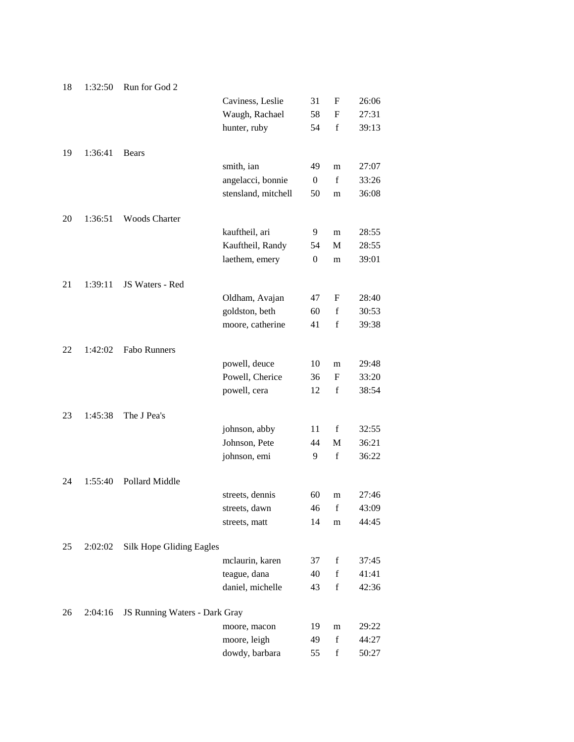| 18 | 1:32:50 | Run for God 2                 |                     |                  |             |       |
|----|---------|-------------------------------|---------------------|------------------|-------------|-------|
|    |         |                               | Caviness, Leslie    | 31               | F           | 26:06 |
|    |         |                               | Waugh, Rachael      | 58               | F           | 27:31 |
|    |         |                               | hunter, ruby        | 54               | $\mathbf f$ | 39:13 |
| 19 | 1:36:41 | <b>Bears</b>                  |                     |                  |             |       |
|    |         |                               | smith, ian          | 49               | m           | 27:07 |
|    |         |                               | angelacci, bonnie   | $\boldsymbol{0}$ | $\mathbf f$ | 33:26 |
|    |         |                               | stensland, mitchell | 50               | m           | 36:08 |
| 20 | 1:36:51 | <b>Woods Charter</b>          |                     |                  |             |       |
|    |         |                               | kauftheil, ari      | 9                | m           | 28:55 |
|    |         |                               | Kauftheil, Randy    | 54               | М           | 28:55 |
|    |         |                               | laethem, emery      | $\boldsymbol{0}$ | m           | 39:01 |
| 21 | 1:39:11 | JS Waters - Red               |                     |                  |             |       |
|    |         |                               | Oldham, Avajan      | 47               | F           | 28:40 |
|    |         |                               | goldston, beth      | 60               | $\mathbf f$ | 30:53 |
|    |         |                               | moore, catherine    | 41               | $\mathbf f$ | 39:38 |
| 22 | 1:42:02 | <b>Fabo Runners</b>           |                     |                  |             |       |
|    |         |                               | powell, deuce       | 10               | m           | 29:48 |
|    |         |                               | Powell, Cherice     | 36               | F           | 33:20 |
|    |         |                               | powell, cera        | 12               | $\mathbf f$ | 38:54 |
| 23 | 1:45:38 | The J Pea's                   |                     |                  |             |       |
|    |         |                               | johnson, abby       | 11               | $\mathbf f$ | 32:55 |
|    |         |                               | Johnson, Pete       | 44               | M           | 36:21 |
|    |         |                               | johnson, emi        | 9                | $\mathbf f$ | 36:22 |
| 24 | 1:55:40 | Pollard Middle                |                     |                  |             |       |
|    |         |                               | streets, dennis     | 60               | m           | 27:46 |
|    |         |                               | streets, dawn       | 46               | $\mathbf f$ | 43:09 |
|    |         |                               | streets, matt       | 14               | m           | 44:45 |
| 25 | 2:02:02 | Silk Hope Gliding Eagles      |                     |                  |             |       |
|    |         |                               | mclaurin, karen     | 37               | $\mathbf f$ | 37:45 |
|    |         |                               | teague, dana        | 40               | $\mathbf f$ | 41:41 |
|    |         |                               | daniel, michelle    | 43               | $\mathbf f$ | 42:36 |
| 26 | 2:04:16 | JS Running Waters - Dark Gray |                     |                  |             |       |
|    |         |                               | moore, macon        | 19               | m           | 29:22 |
|    |         |                               | moore, leigh        | 49               | $\mathbf f$ | 44:27 |
|    |         |                               | dowdy, barbara      | 55               | $\mathbf f$ | 50:27 |